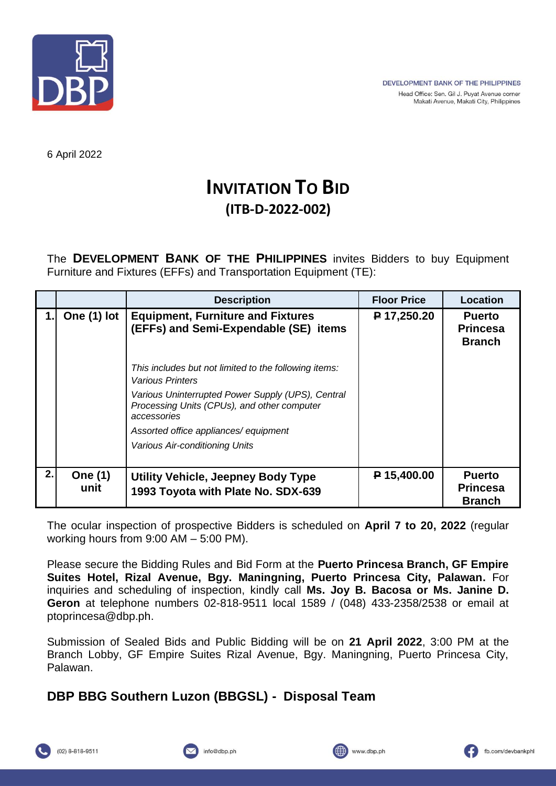

6 April 2022

## **INVITATION TO BID (ITB-D-2022-002)**

The **DEVELOPMENT BANK OF THE PHILIPPINES** invites Bidders to buy Equipment Furniture and Fixtures (EFFs) and Transportation Equipment (TE):

|    |                        | <b>Description</b>                                                                                              | <b>Floor Price</b> | <b>Location</b>                                   |
|----|------------------------|-----------------------------------------------------------------------------------------------------------------|--------------------|---------------------------------------------------|
| 1. | One (1) lot            | <b>Equipment, Furniture and Fixtures</b><br>(EFFs) and Semi-Expendable (SE) items                               | $P$ 17,250.20      | <b>Puerto</b><br><b>Princesa</b><br><b>Branch</b> |
|    |                        | This includes but not limited to the following items:<br><i><b>Various Printers</b></i>                         |                    |                                                   |
|    |                        | Various Uninterrupted Power Supply (UPS), Central<br>Processing Units (CPUs), and other computer<br>accessories |                    |                                                   |
|    |                        | Assorted office appliances/ equipment                                                                           |                    |                                                   |
|    |                        | Various Air-conditioning Units                                                                                  |                    |                                                   |
| 2. | <b>One (1)</b><br>unit | Utility Vehicle, Jeepney Body Type<br>1993 Toyota with Plate No. SDX-639                                        | P 15,400.00        | <b>Puerto</b><br><b>Princesa</b><br><b>Branch</b> |

The ocular inspection of prospective Bidders is scheduled on **April 7 to 20, 2022** (regular working hours from 9:00 AM – 5:00 PM).

Please secure the Bidding Rules and Bid Form at the **Puerto Princesa Branch, GF Empire Suites Hotel, Rizal Avenue, Bgy. Maningning, Puerto Princesa City, Palawan.** For inquiries and scheduling of inspection, kindly call **Ms. Joy B. Bacosa or Ms. Janine D. Geron** at telephone numbers 02-818-9511 local 1589 / (048) 433-2358/2538 or email at ptoprincesa@dbp.ph.

Submission of Sealed Bids and Public Bidding will be on **21 April 2022**, 3:00 PM at the Branch Lobby, GF Empire Suites Rizal Avenue, Bgy. Maningning, Puerto Princesa City, Palawan.

## **DBP BBG Southern Luzon (BBGSL) - Disposal Team**